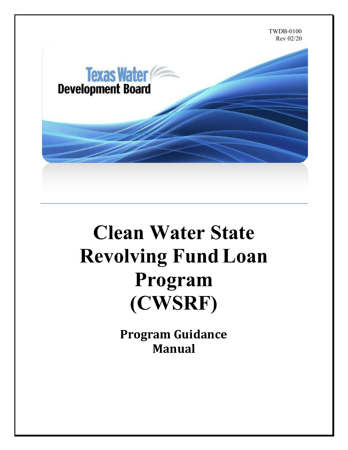

# **Clean Water State Revolving Fund Loan Program (CWSRF)**

**Program Guidance Manual**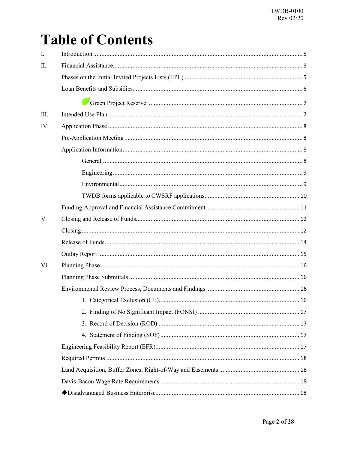## **Table of Contents**

| I.  |  |  |  |  |
|-----|--|--|--|--|
| Π.  |  |  |  |  |
|     |  |  |  |  |
|     |  |  |  |  |
|     |  |  |  |  |
| Ш.  |  |  |  |  |
| IV. |  |  |  |  |
|     |  |  |  |  |
|     |  |  |  |  |
|     |  |  |  |  |
|     |  |  |  |  |
|     |  |  |  |  |
|     |  |  |  |  |
|     |  |  |  |  |
| V.  |  |  |  |  |
|     |  |  |  |  |
|     |  |  |  |  |
|     |  |  |  |  |
| VI. |  |  |  |  |
|     |  |  |  |  |
|     |  |  |  |  |
|     |  |  |  |  |
|     |  |  |  |  |
|     |  |  |  |  |
|     |  |  |  |  |
|     |  |  |  |  |
|     |  |  |  |  |
|     |  |  |  |  |
|     |  |  |  |  |
|     |  |  |  |  |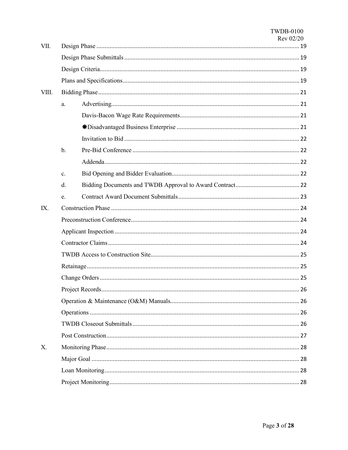| VII.  |       |  |  |  |  |  |
|-------|-------|--|--|--|--|--|
|       |       |  |  |  |  |  |
|       |       |  |  |  |  |  |
|       |       |  |  |  |  |  |
| VIII. |       |  |  |  |  |  |
|       | a.    |  |  |  |  |  |
|       |       |  |  |  |  |  |
|       |       |  |  |  |  |  |
|       |       |  |  |  |  |  |
|       | $b$ . |  |  |  |  |  |
|       |       |  |  |  |  |  |
|       | c.    |  |  |  |  |  |
|       | d.    |  |  |  |  |  |
|       | e.    |  |  |  |  |  |
| IX.   |       |  |  |  |  |  |
|       |       |  |  |  |  |  |
|       |       |  |  |  |  |  |
|       |       |  |  |  |  |  |
|       |       |  |  |  |  |  |
|       |       |  |  |  |  |  |
|       |       |  |  |  |  |  |
|       |       |  |  |  |  |  |
|       |       |  |  |  |  |  |
|       |       |  |  |  |  |  |
|       |       |  |  |  |  |  |
|       |       |  |  |  |  |  |
| X.    |       |  |  |  |  |  |
|       |       |  |  |  |  |  |
|       |       |  |  |  |  |  |
|       |       |  |  |  |  |  |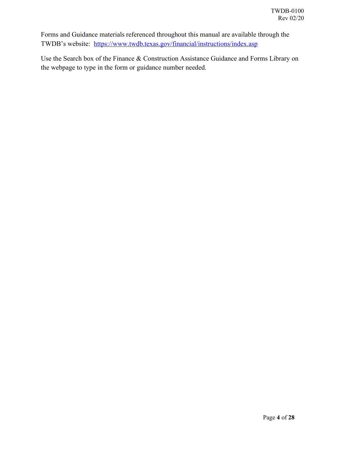Forms and Guidance materials referenced throughout this manual are available through the TWDB's website: <https://www.twdb.texas.gov/financial/instructions/index.asp>

Use the Search box of the Finance & Construction Assistance Guidance and Forms Library on the webpage to type in the form or guidance number needed.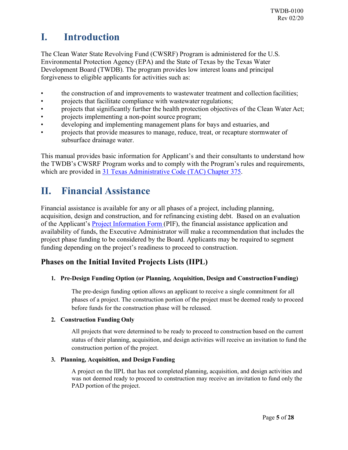### <span id="page-4-0"></span>**I. Introduction**

The Clean Water State Revolving Fund (CWSRF) Program is administered for the U.S. Environmental Protection Agency (EPA) and the State of Texas by the Texas Water Development Board (TWDB). The program provides low interest loans and principal forgiveness to eligible applicants for activities such as:

- the construction of and improvements to wastewater treatment and collection facilities;
- projects that facilitate compliance with wastewater regulations;
- projects that significantly further the health protection objectives of the Clean Water Act;
- projects implementing a non-point source program;
- developing and implementing management plans for bays and estuaries, and
- projects that provide measures to manage, reduce, treat, or recapture stormwater of subsurface drainage water.

This manual provides basic information for Applicant's and their consultants to understand how the TWDB's CWSRF Program works and to comply with the Program's rules and requirements, which are provided in [31 Texas Administrative Code \(TAC\) Chapter 375.](https://texreg.sos.state.tx.us/public/readtac$ext.ViewTAC?tac_view=4&ti=31&pt=10&ch=375)

## <span id="page-4-1"></span>**II. Financial Assistance**

Financial assistance is available for any or all phases of a project, including planning, acquisition, design and construction, and for refinancing existing debt. Based on an evaluation of the Applicant's [Project Information Form \(](https://www.twdb.texas.gov/financial/programs/cwsrf/pif.asp)PIF), the financial assistance application and availability of funds, the Executive Administrator will make a recommendation that includes the project phase funding to be considered by the Board. Applicants may be required to segment funding depending on the project's readiness to proceed to construction.

#### <span id="page-4-2"></span>**Phases on the Initial Invited Projects Lists (IIPL)**

#### **1. Pre-Design Funding Option (or Planning, Acquisition, Design and ConstructionFunding)**

The pre-design funding option allows an applicant to receive a single commitment for all phases of a project. The construction portion of the project must be deemed ready to proceed before funds for the construction phase will be released.

#### **2. Construction Funding Only**

All projects that were determined to be ready to proceed to construction based on the current status of their planning, acquisition, and design activities will receive an invitation to fund the construction portion of the project.

#### **3. Planning, Acquisition, and Design Funding**

A project on the IIPL that has not completed planning, acquisition, and design activities and was not deemed ready to proceed to construction may receive an invitation to fund only the PAD portion of the project.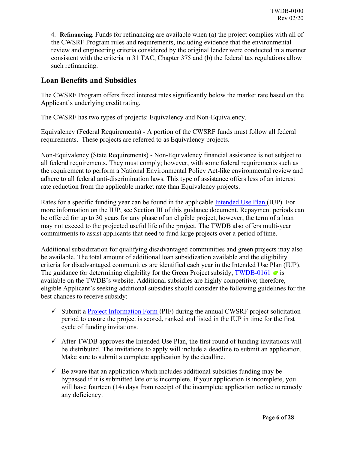4. **Refinancing.** Funds for refinancing are available when (a) the project complies with all of the CWSRF Program rules and requirements, including evidence that the environmental review and engineering criteria considered by the original lender were conducted in a manner consistent with the criteria in 31 TAC, Chapter 375 and (b) the federal tax regulations allow such refinancing.

#### <span id="page-5-0"></span>**Loan Benefits and Subsidies**

The CWSRF Program offers fixed interest rates significantly below the market rate based on the Applicant's underlying credit rating.

The CWSRF has two types of projects: Equivalency and Non-Equivalency.

Equivalency (Federal Requirements) - A portion of the CWSRF funds must follow all federal requirements. These projects are referred to as Equivalency projects.

Non-Equivalency (State Requirements) - Non-Equivalency financial assistance is not subject to all federal requirements. They must comply; however, with some federal requirements such as the requirement to perform a National Environmental Policy Act-like environmental review and adhere to all federal anti-discrimination laws. This type of assistance offers less of an interest rate reduction from the applicable market rate than Equivalency projects.

Rates for a specific funding year can be found in the applicable [Intended Use Plan \(](https://www.twdb.texas.gov/financial/programs/CWSRF/)IUP). For more information on the IUP, see Section III of this guidance document. Repayment periods can be offered for up to 30 years for any phase of an eligible project, however, the term of a loan may not exceed to the projected useful life of the project. The TWDB also offers multi-year commitments to assist applicants that need to fund large projects over a period of time.

Additional subsidization for qualifying disadvantaged communities and green projects may also be available. The total amount of additional loan subsidization available and the eligibility criteria for disadvantaged communities are identified each year in the Intended Use Plan (IUP). The guidance for determining eligibility for the Green Project subsidy, [TWDB-0161](https://www.twdb.texas.gov/financial/instructions/index.asp)  $\bullet$  is available on the TWDB's website. Additional subsidies are highly competitive; therefore, eligible Applicant's seeking additional subsidies should consider the following guidelines for the best chances to receive subsidy:

- $\checkmark$  Submit a [Project Information Form \(](https://www.twdb.texas.gov/financial/programs/cwsrf/pif.asp)PIF) during the annual CWSRF project solicitation period to ensure the project is scored, ranked and listed in the IUP in time for the first cycle of funding invitations.
- $\checkmark$  After TWDB approves the Intended Use Plan, the first round of funding invitations will be distributed. The invitations to apply will include a deadline to submit an application. Make sure to submit a complete application by the deadline.
- $\checkmark$  Be aware that an application which includes additional subsidies funding may be bypassed if it is submitted late or is incomplete. If your application is incomplete, you will have fourteen (14) days from receipt of the incomplete application notice to remedy any deficiency.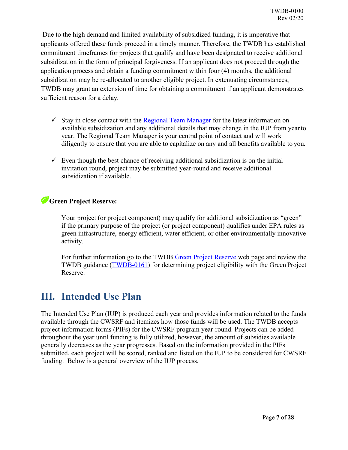Due to the high demand and limited availability of subsidized funding, it is imperative that applicants offered these funds proceed in a timely manner. Therefore, the TWDB has established commitment timeframes for projects that qualify and have been designated to receive additional subsidization in the form of principal forgiveness. If an applicant does not proceed through the application process and obtain a funding commitment within four (4) months, the additional subsidization may be re-allocated to another eligible project. In extenuating circumstances, TWDB may grant an extension of time for obtaining a commitment if an applicant demonstrates sufficient reason for a delay.

- $\checkmark$  Stay in close contact with the [Regional Team Manager f](https://www.twdb.texas.gov/financial/programs/swift/regional_project_teams.asp)or the latest information on available subsidization and any additional details that may change in the IUP from yearto year. The Regional Team Manager is your central point of contact and will work diligently to ensure that you are able to capitalize on any and all benefits available to you.
- $\checkmark$  Even though the best chance of receiving additional subsidization is on the initial invitation round, project may be submitted year-round and receive additional subsidization if available.

#### <span id="page-6-0"></span>**Green Project Reserve:**

Your project (or project component) may qualify for additional subsidization as "green" if the primary purpose of the project (or project component) qualifies under EPA rules as green infrastructure, energy efficient, water efficient, or other environmentally innovative activity.

For further information go to the TWDB [Green Project Reserve w](https://www.twdb.texas.gov/financial/programs/green/index.asp)eb page and review the TWDB guidance [\(TWDB-0161\)](https://www.twdb.texas.gov/financial/instructions/index.asp) for determining project eligibility with the Green Project Reserve.

#### <span id="page-6-1"></span>**III. Intended Use Plan**

The Intended Use Plan (IUP) is produced each year and provides information related to the funds available through the CWSRF and itemizes how those funds will be used. The TWDB accepts project information forms (PIFs) for the CWSRF program year-round. Projects can be added throughout the year until funding is fully utilized, however, the amount of subsidies available generally decreases as the year progresses. Based on the information provided in the PIFs submitted, each project will be scored, ranked and listed on the IUP to be considered for CWSRF funding. Below is a general overview of the IUP process.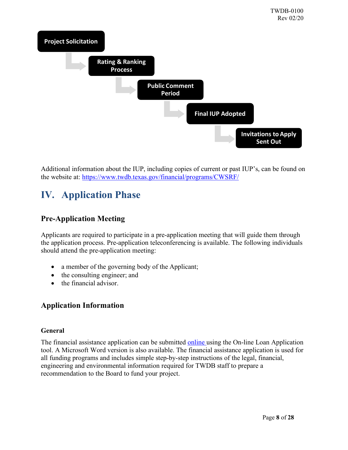

Additional information about the IUP, including copies of current or past IUP's, can be found on the website at:<https://www.twdb.texas.gov/financial/programs/CWSRF/>

## <span id="page-7-0"></span>**IV. Application Phase**

#### <span id="page-7-1"></span>**Pre-Application Meeting**

Applicants are required to participate in a pre-application meeting that will guide them through the application process. Pre-application teleconferencing is available. The following individuals should attend the pre-application meeting:

- a member of the governing body of the Applicant;
- the consulting engineer; and
- the financial advisor.

#### <span id="page-7-2"></span>**Application Information**

#### <span id="page-7-3"></span>**General**

The financial assistance application can be submitted [online u](https://ola.twdb.texas.gov/)sing the On-line Loan Application tool. A Microsoft Word version is also available. The financial assistance application is used for all funding programs and includes simple step-by-step instructions of the legal, financial, engineering and environmental information required for TWDB staff to prepare a recommendation to the Board to fund your project.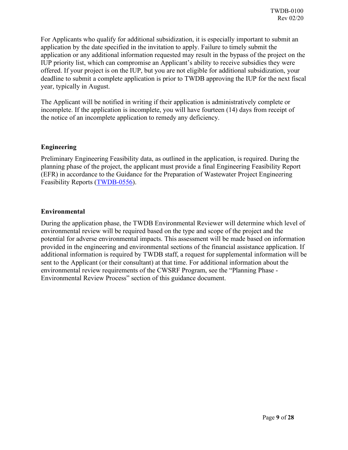For Applicants who qualify for additional subsidization, it is especially important to submit an application by the date specified in the invitation to apply. Failure to timely submit the application or any additional information requested may result in the bypass of the project on the IUP priority list, which can compromise an Applicant's ability to receive subsidies they were offered. If your project is on the IUP, but you are not eligible for additional subsidization, your deadline to submit a complete application is prior to TWDB approving the IUP for the next fiscal year, typically in August.

The Applicant will be notified in writing if their application is administratively complete or incomplete. If the application is incomplete, you will have fourteen (14) days from receipt of the notice of an incomplete application to remedy any deficiency.

#### <span id="page-8-0"></span>**Engineering**

Preliminary Engineering Feasibility data, as outlined in the application, is required. During the planning phase of the project, the applicant must provide a final Engineering Feasibility Report (EFR) in accordance to the Guidance for the Preparation of Wastewater Project Engineering Feasibility Reports [\(TWDB-0556\)](https://www.twdb.texas.gov/financial/instructions/index.asp).

#### <span id="page-8-1"></span>**Environmental**

During the application phase, the TWDB Environmental Reviewer will determine which level of environmental review will be required based on the type and scope of the project and the potential for adverse environmental impacts. This assessment will be made based on information provided in the engineering and environmental sections of the financial assistance application. If additional information is required by TWDB staff, a request for supplemental information will be sent to the Applicant (or their consultant) at that time. For additional information about the environmental review requirements of the CWSRF Program, see the "Planning Phase - Environmental Review Process" section of this guidance document.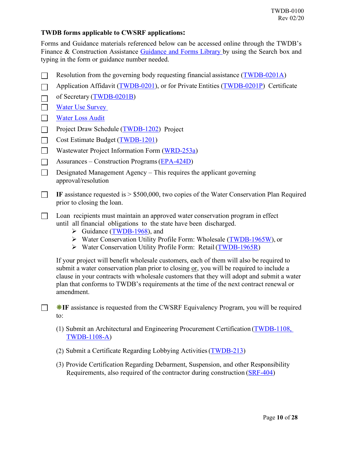#### <span id="page-9-0"></span>**TWDB forms applicable to CWSRF applications:**

Forms and Guidance materials referenced below can be accessed online through the TWDB's Finance & Construction Assistance [Guidance and Forms Library b](https://www.twdb.texas.gov/financial/instructions/index.asp)y using the Search box and typing in the form or guidance number needed.

- Resolution from the governing body requesting financial assistance [\(TWDB-0201A\)](https://www.twdb.texas.gov/financial/instructions/index.asp)  $\Box$
- Application Affidavit [\(TWDB-0201\)](https://www.twdb.texas.gov/financial/instructions/index.asp), or for Private Entities [\(TWDB-0201P\)](https://www.twdb.texas.gov/financial/instructions/index.asp) Certificate  $\Box$
- of Secretary [\(TWDB-0201B\)](https://www.twdb.texas.gov/financial/instructions/index.asp)  $\Box$
- $\Box$ [Water Use Survey](https://www.twdb.texas.gov/waterplanning/waterusesurvey/index.asp)
- $\Box$ [Water Loss Audit](https://www.twdb.texas.gov/conservation/resources/waterloss-resources.asp)
- Project Draw Schedule [\(TWDB-1202\)](https://www.twdb.texas.gov/financial/instructions/index.asp) Project  $\Box$
- Cost Estimate Budget [\(TWDB-1201\)](https://www.twdb.texas.gov/financial/instructions/index.asp)  $\Box$
- $\Box$ Wastewater Project Information Form [\(WRD-253a\)](https://www.twdb.texas.gov/financial/instructions/index.asp)
- Assurances Construction Programs[\(EPA-424D\)](https://www.twdb.texas.gov/financial/instructions/index.asp)  $\Box$
- $\Box$ Designated Management Agency – This requires the applicant governing approval/resolution
- $\Box$ **IF** assistance requested is > \$500,000, two copies of the Water Conservation Plan Required prior to closing the loan.
- Loan recipients must maintain an approved water conservation program in effect until all financial obligations to the state have been discharged.
	- $\triangleright$  Guidance [\(TWDB-1968\)](https://www.twdb.texas.gov/financial/instructions/doc/TWDB-1968.pdf), and
	- Water Conservation Utility Profile Form: Wholesale [\(TWDB-1965W\)](https://www.twdb.texas.gov/conservation/municipal/plans/doc/WUP_1965W.pdf), or
	- Water Conservation Utility Profile Form: Retail[\(TWDB-1965R\)](https://www.twdb.texas.gov/conservation/municipal/plans/doc/RUP_1965R.pdf)

If your project will benefit wholesale customers, each of them will also be required to submit a water conservation plan prior to closing or, you will be required to include a clause in your contracts with wholesale customers that they will adopt and submit a water plan that conforms to TWDB's requirements at the time of the next contract renewal or amendment.

**IF WE** assistance is requested from the CWSRF Equivalency Program, you will be required to:

- (1) Submit an Architectural and Engineering Procurement Certification [\(TWDB-1108,](https://www.twdb.texas.gov/financial/instructions/index.asp)  [TWDB-1108-A\)](https://www.twdb.texas.gov/financial/instructions/index.asp)
- (2) Submit a Certificate Regarding Lobbying Activities[\(TWDB-213\)](https://www.twdb.texas.gov/financial/instructions/index.asp)
- (3) Provide Certification Regarding Debarment, Suspension, and other Responsibility Requirements, also required of the contractor during construction [\(SRF-404\)](https://www.twdb.texas.gov/financial/instructions/index.asp)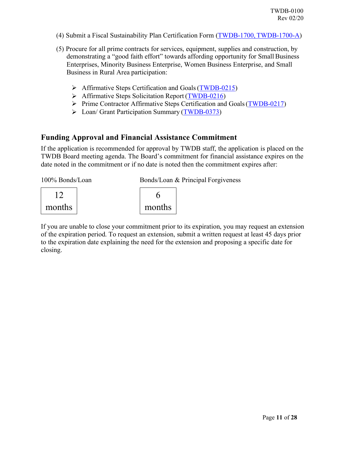- (4) Submit a Fiscal Sustainability Plan Certification Form (TWDB-1700, [TWDB-1700-A\)](https://www.twdb.texas.gov/financial/instructions/index.asp)
- (5) Procure for all prime contracts for services, equipment, supplies and construction, by demonstrating a "good faith effort" towards affording opportunity for Small Business Enterprises, Minority Business Enterprise, Women Business Enterprise, and Small Business in Rural Area participation:
	- Affirmative Steps Certification and Goals[\(TWDB-0215\)](https://www.twdb.texas.gov/financial/instructions/index.asp)
	- > Affirmative Steps Solicitation Report [\(TWDB-0216\)](https://www.twdb.texas.gov/financial/instructions/index.asp)
	- $\triangleright$  Prime Contractor Affirmative Steps Certification and Goals [\(TWDB-0217\)](https://www.twdb.texas.gov/financial/instructions/index.asp)
	- Loan/ Grant Participation Summary [\(TWDB-0373\)](https://www.twdb.texas.gov/financial/instructions/index.asp)

#### <span id="page-10-0"></span>**Funding Approval and Financial Assistance Commitment**

If the application is recommended for approval by TWDB staff, the application is placed on the TWDB Board meeting agenda. The Board's commitment for financial assistance expires on the date noted in the commitment or if no date is noted then the commitment expires after:

| 100% Bonds/Loan | Bonds/Loan & Principal Forgiveness |  |  |
|-----------------|------------------------------------|--|--|
|                 |                                    |  |  |
| months          | months                             |  |  |
|                 |                                    |  |  |

If you are unable to close your commitment prior to its expiration, you may request an extension of the expiration period. To request an extension, submit a written request at least 45 days prior to the expiration date explaining the need for the extension and proposing a specific date for closing.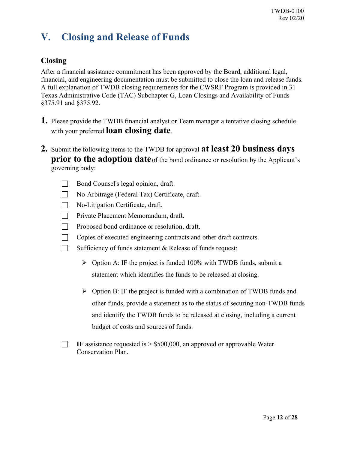## <span id="page-11-0"></span>**V. Closing and Release of Funds**

#### <span id="page-11-1"></span>**Closing**

After a financial assistance commitment has been approved by the Board, additional legal, financial, and engineering documentation must be submitted to close the loan and release funds. A full explanation of TWDB closing requirements for the CWSRF Program is provided in 31 Texas Administrative Code (TAC) Subchapter G, Loan Closings and Availability of Funds §375.91 and §375.92.

- **1.** Please provide the TWDB financial analyst or Team manager a tentative closing schedule with your preferred **loan closing date**.
- **2.** Submit the following items to the TWDB for approval **at least 20 business days prior to the adoption date** of the bond ordinance or resolution by the Applicant's governing body:
	- $\Box$ Bond Counsel's legal opinion, draft.
	- $\Box$ No-Arbitrage (Federal Tax) Certificate, draft.
	- $\Box$ No-Litigation Certificate, draft.
	- $\Box$ Private Placement Memorandum, draft.
	- $\Box$ Proposed bond ordinance or resolution, draft.
	- $\Box$ Copies of executed engineering contracts and other draft contracts.
	- $\Box$ Sufficiency of funds statement & Release of funds request:
		- $\triangleright$  Option A: IF the project is funded 100% with TWDB funds, submit a statement which identifies the funds to be released at closing.
		- $\triangleright$  Option B: IF the project is funded with a combination of TWDB funds and other funds, provide a statement as to the status of securing non-TWDB funds and identify the TWDB funds to be released at closing, including a current budget of costs and sources of funds.
	- **IF** assistance requested is  $> $500,000$ , an approved or approvable Water Conservation Plan.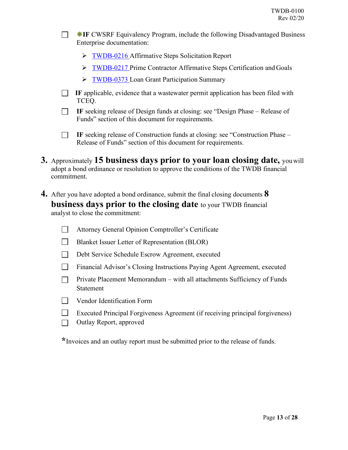**IF CWSRF Equivalency Program, include the following Disadvantaged Business** Enterprise documentation:

- **FWDB-0216 Affirmative Steps Solicitation Report**
- [TWDB-0217 P](https://www.twdb.texas.gov/financial/instructions/index.asp)rime Contractor Affirmative Steps Certification and Goals
- **[TWDB-0373 L](https://www.twdb.texas.gov/financial/instructions/index.asp)oan Grant Participation Summary**
- **IF** applicable, evidence that a wastewater permit application has been filed with TCEQ.
- **IF** seeking release of Design funds at closing: see "Design Phase Release of Funds" section of this document for requirements.
- $\Box$ **IF** seeking release of Construction funds at closing: see "Construction Phase – Release of Funds" section of this document for requirements.
- **3.** Approximately **15 business days prior to your loan closing date,** youwill adopt a bond ordinance or resolution to approve the conditions of the TWDB financial commitment.
- **4.** After you have adopted a bond ordinance, submit the final closing documents **8 business days prior to the closing date** to your TWDB financial analyst to close the commitment:
	- $\Box$ Attorney General Opinion Comptroller's Certificate
	- $\Box$ Blanket Issuer Letter of Representation (BLOR)
	- $\Box$ Debt Service Schedule Escrow Agreement, executed
	- $\Box$ Financial Advisor's Closing Instructions Paying Agent Agreement, executed
	- $\Box$ Private Placement Memorandum – with all attachments Sufficiency of Funds Statement
	- $\Box$ Vendor Identification Form

П.

- $\Box$ Executed Principal Forgiveness Agreement (if receiving principal forgiveness)
- $\Box$ Outlay Report, approved

**\***Invoices and an outlay report must be submitted prior to the release of funds.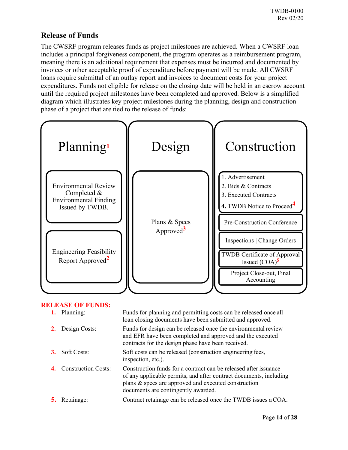#### <span id="page-13-0"></span>**Release of Funds**

The CWSRF program releases funds as project milestones are achieved. When a CWSRF loan includes a principal forgiveness component, the program operates as a reimbursement program, meaning there is an additional requirement that expenses must be incurred and documented by invoices or other acceptable proof of expenditure before payment will be made. All CWSRF loans require submittal of an outlay report and invoices to document costs for your project expenditures. Funds not eligible for release on the closing date will be held in an escrow account until the required project milestones have been completed and approved. Below is a simplified diagram which illustrates key project milestones during the planning, design and construction phase of a project that are tied to the release of funds:



#### **RELEASE OF FUNDS:**

| 1. Planning:               | Funds for planning and permitting costs can be released once all<br>loan closing documents have been submitted and approved.                                                                                                          |
|----------------------------|---------------------------------------------------------------------------------------------------------------------------------------------------------------------------------------------------------------------------------------|
| Design Costs:              | Funds for design can be released once the environmental review<br>and EFR have been completed and approved and the executed<br>contracts for the design phase have been received.                                                     |
| 3. Soft Costs:             | Soft costs can be released (construction engineering fees,<br>inspection, etc.).                                                                                                                                                      |
| <b>Construction Costs:</b> | Construction funds for a contract can be released after issuance<br>of any applicable permits, and after contract documents, including<br>plans & specs are approved and executed construction<br>documents are contingently awarded. |
| Retainage:                 | Contract retainage can be released once the TWDB issues a COA.                                                                                                                                                                        |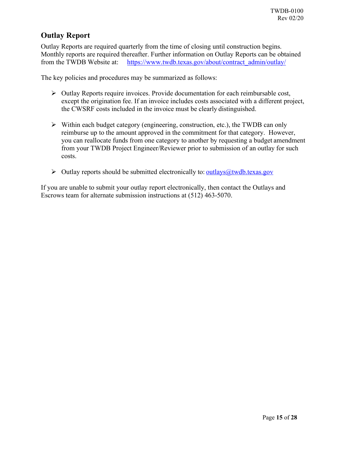#### <span id="page-14-0"></span>**Outlay Report**

Outlay Reports are required quarterly from the time of closing until construction begins. Monthly reports are required thereafter. Further information on Outlay Reports can be obtained from the TWDB Website at: [https://www.twdb.texas.gov/about/contract\\_admin/outlay/](https://www.twdb.texas.gov/about/contract_admin/outlay/)

The key policies and procedures may be summarized as follows:

- $\triangleright$  Outlay Reports require invoices. Provide documentation for each reimbursable cost, except the origination fee. If an invoice includes costs associated with a different project, the CWSRF costs included in the invoice must be clearly distinguished.
- $\triangleright$  Within each budget category (engineering, construction, etc.), the TWDB can only reimburse up to the amount approved in the commitment for that category. However, you can reallocate funds from one category to another by requesting a budget amendment from your TWDB Project Engineer/Reviewer prior to submission of an outlay for such costs.
- $\triangleright$  Outlay reports should be submitted electronically to: <u>outlays (a)</u> two thexas.gov

If you are unable to submit your outlay report electronically, then contact the Outlays and Escrows team for alternate submission instructions at (512) 463-5070.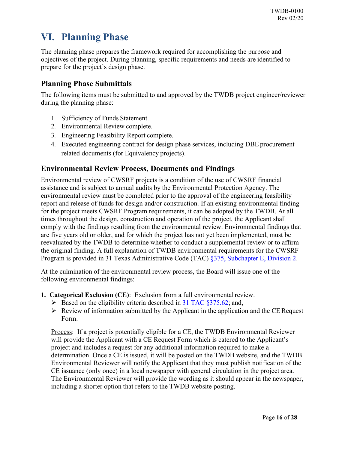## <span id="page-15-0"></span>**VI. Planning Phase**

The planning phase prepares the framework required for accomplishing the purpose and objectives of the project. During planning, specific requirements and needs are identified to prepare for the project's design phase.

#### <span id="page-15-1"></span>**Planning Phase Submittals**

The following items must be submitted to and approved by the TWDB project engineer/reviewer during the planning phase:

- 1. Sufficiency of Funds Statement.
- 2. Environmental Review complete.
- 3. Engineering Feasibility Report complete.
- 4. Executed engineering contract for design phase services, including DBE procurement related documents (for Equivalency projects).

#### <span id="page-15-2"></span>**Environmental Review Process, Documents and Findings**

Environmental review of CWSRF projects is a condition of the use of CWSRF financial assistance and is subject to annual audits by the Environmental Protection Agency. The environmental review must be completed prior to the approval of the engineering feasibility report and release of funds for design and/or construction. If an existing environmental finding for the project meets CWSRF Program requirements, it can be adopted by the TWDB. At all times throughout the design, construction and operation of the project, the Applicant shall comply with the findings resulting from the environmental review. Environmental findings that are five years old or older, and for which the project has not yet been implemented, must be reevaluated by the TWDB to determine whether to conduct a supplemental review or to affirm the original finding. A full explanation of TWDB environmental requirements for the CWSRF Program is provided in 31 Texas Administrative Code (TAC) [§375, Subchapter E, Division 2.](https://texreg.sos.state.tx.us/public/readtac$ext.ViewTAC?tac_view=5&ti=31&pt=10&ch=375&sch=E&div=2&rl=Y)

At the culmination of the environmental review process, the Board will issue one of the following environmental findings:

- <span id="page-15-3"></span>**1. Categorical Exclusion (CE)**: Exclusion from a full environmentalreview.
	- $\triangleright$  Based on the eligibility criteria described in [31 TAC §375.62;](https://texreg.sos.state.tx.us/public/readtac$ext.TacPage?sl=R&app=9&p_dir=&p_rloc=&p_tloc=&p_ploc=&pg=1&p_tac=&ti=31&pt=10&ch=375&rl=62) and,
	- $\triangleright$  Review of information submitted by the Applicant in the application and the CE Request Form.

Process: If a project is potentially eligible for a CE, the TWDB Environmental Reviewer will provide the Applicant with a CE Request Form which is catered to the Applicant's project and includes a request for any additional information required to make a determination. Once a CE is issued, it will be posted on the TWDB website, and the TWDB Environmental Reviewer will notify the Applicant that they must publish notification of the CE issuance (only once) in a local newspaper with general circulation in the project area. The Environmental Reviewer will provide the wording as it should appear in the newspaper, including a shorter option that refers to the TWDB website posting.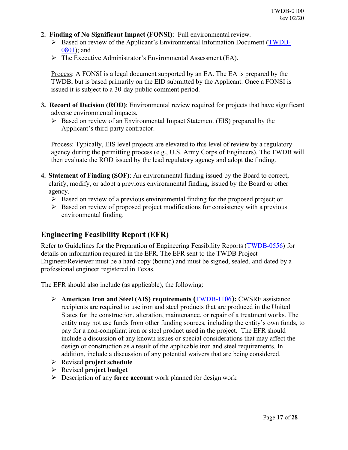- <span id="page-16-0"></span>**2. Finding of No Significant Impact (FONSI):** Full environmental review.
	- Based on review of the Applicant's Environmental Information Document [\(TWDB-](https://www.twdb.texas.gov/financial/instructions/index.asp)[0801\)](http://www.twdb.texas.gov/financial/instructions/index.asp); and
	- The Executive Administrator's Environmental Assessment (EA).

Process: A FONSI is a legal document supported by an EA. The EA is prepared by the TWDB, but is based primarily on the EID submitted by the Applicant. Once a FONSI is issued it is subject to a 30-day public comment period.

- <span id="page-16-1"></span>**3. Record of Decision (ROD)**: Environmental review required for projects that have significant adverse environmental impacts.
	- $\triangleright$  Based on review of an Environmental Impact Statement (EIS) prepared by the Applicant's third-party contractor.

Process: Typically, EIS level projects are elevated to this level of review by a regulatory agency during the permitting process (e.g., U.S. Army Corps of Engineers). The TWDB will then evaluate the ROD issued by the lead regulatory agency and adopt the finding.

- <span id="page-16-2"></span>**4. Statement of Finding (SOF)**: An environmental finding issued by the Board to correct, clarify, modify, or adopt a previous environmental finding, issued by the Board or other agency.
	- $\triangleright$  Based on review of a previous environmental finding for the proposed project; or
	- $\triangleright$  Based on review of proposed project modifications for consistency with a previous environmental finding.

#### <span id="page-16-3"></span>**Engineering Feasibility Report (EFR)**

Refer to Guidelines for the Preparation of Engineering Feasibility Reports [\(TWDB-0556\)](https://www.twdb.texas.gov/financial/instructions/index.asp) for details on information required in the EFR. The EFR sent to the TWDB Project Engineer/Reviewer must be a hard-copy (bound) and must be signed, sealed, and dated by a professional engineer registered in Texas.

The EFR should also include (as applicable), the following:

- **American Iron and Steel (AIS) requirements (**[TWDB-1106](https://www.twdb.texas.gov/financial/instructions/index.asp)**):** CWSRF assistance recipients are required to use iron and steel products that are produced in the United States for the construction, alteration, maintenance, or repair of a treatment works. The entity may not use funds from other funding sources, including the entity's own funds, to pay for a non-compliant iron or steel product used in the project. The EFR should include a discussion of any known issues or special considerations that may affect the design or construction as a result of the applicable iron and steel requirements. In addition, include a discussion of any potential waivers that are being considered.
- Revised **project schedule**
- Revised **project budget**
- Description of any **force account** work planned for design work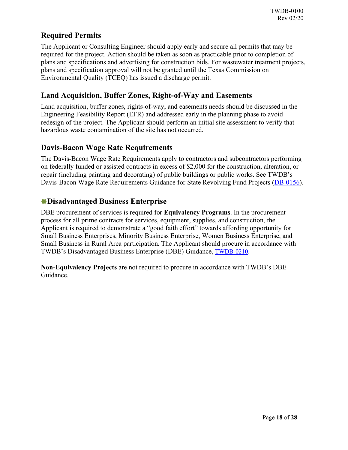#### <span id="page-17-0"></span>**Required Permits**

The Applicant or Consulting Engineer should apply early and secure all permits that may be required for the project. Action should be taken as soon as practicable prior to completion of plans and specifications and advertising for construction bids. For wastewater treatment projects, plans and specification approval will not be granted until the Texas Commission on Environmental Quality (TCEQ) has issued a discharge permit.

#### <span id="page-17-1"></span>**Land Acquisition, Buffer Zones, Right-of-Way and Easements**

Land acquisition, buffer zones, rights-of-way, and easements needs should be discussed in the Engineering Feasibility Report (EFR) and addressed early in the planning phase to avoid redesign of the project. The Applicant should perform an initial site assessment to verify that hazardous waste contamination of the site has not occurred.

#### <span id="page-17-2"></span>**Davis-Bacon Wage Rate Requirements**

The Davis-Bacon Wage Rate Requirements apply to contractors and subcontractors performing on federally funded or assisted contracts in excess of \$2,000 for the construction, alteration, or repair (including painting and decorating) of public buildings or public works. See TWDB's Davis-Bacon Wage Rate Requirements Guidance for State Revolving Fund Projects [\(DB-0156\)](https://www.twdb.texas.gov/financial/instructions/index.asp).

#### <span id="page-17-3"></span>**Disadvantaged Business Enterprise**

DBE procurement of services is required for **Equivalency Programs**. In the procurement process for all prime contracts for services, equipment, supplies, and construction, the Applicant is required to demonstrate a "good faith effort" towards affording opportunity for Small Business Enterprises, Minority Business Enterprise, Women Business Enterprise, and Small Business in Rural Area participation. The Applicant should procure in accordance with TWDB's Disadvantaged Business Enterprise (DBE) Guidance, [TWDB-0210.](https://www.twdb.texas.gov/financial/instructions/index.asp)

**Non-Equivalency Projects** are not required to procure in accordance with TWDB's DBE Guidance.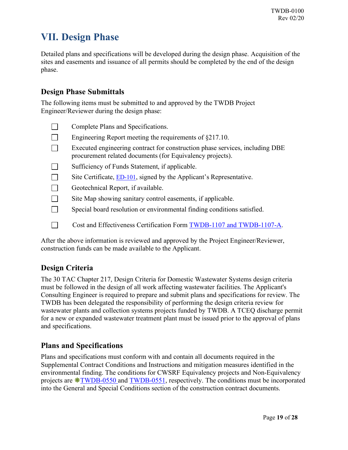## <span id="page-18-0"></span>**VII. Design Phase**

Detailed plans and specifications will be developed during the design phase. Acquisition of the sites and easements and issuance of all permits should be completed by the end of the design phase.

#### <span id="page-18-1"></span>**Design Phase Submittals**

The following items must be submitted to and approved by the TWDB Project Engineer/Reviewer during the design phase:

Complete Plans and Specifications.  $\Box$  $\Box$ Engineering Report meeting the requirements of §217.10.  $\Box$ Executed engineering contract for construction phase services, including DBE procurement related documents (for Equivalency projects).  $\Box$ Sufficiency of Funds Statement, if applicable.  $\Box$ Site Certificate, **ED-101**, signed by the Applicant's Representative.  $\Box$ Geotechnical Report, if available.  $\Box$ Site Map showing sanitary control easements, if applicable.  $\Box$ Special board resolution or environmental finding conditions satisfied.  $\Box$ Cost and Effectiveness Certification Form [TWDB-1107 and TWDB-1107-A.](https://www.twdb.texas.gov/financial/instructions/index.asp)

After the above information is reviewed and approved by the Project Engineer/Reviewer, construction funds can be made available to the Applicant.

#### <span id="page-18-2"></span>**Design Criteria**

The 30 TAC Chapter 217, Design Criteria for Domestic Wastewater Systems design criteria must be followed in the design of all work affecting wastewater facilities. The Applicant's Consulting Engineer is required to prepare and submit plans and specifications for review. The TWDB has been delegated the responsibility of performing the design criteria review for wastewater plants and collection systems projects funded by TWDB. A TCEQ discharge permit for a new or expanded wastewater treatment plant must be issued prior to the approval of plans and specifications.

#### <span id="page-18-3"></span>**Plans and Specifications**

Plans and specifications must conform with and contain all documents required in the Supplemental Contract Conditions and Instructions and mitigation measures identified in the environmental finding. The conditions for CWSRF Equivalency projects and Non-Equivalency projects are  $\text{*TWDB-0550}$  $\text{*TWDB-0550}$  $\text{*TWDB-0550}$  and [TWDB-0551,](https://www.twdb.texas.gov/financial/instructions/index.asp) respectively. The conditions must be incorporated into the General and Special Conditions section of the construction contract documents.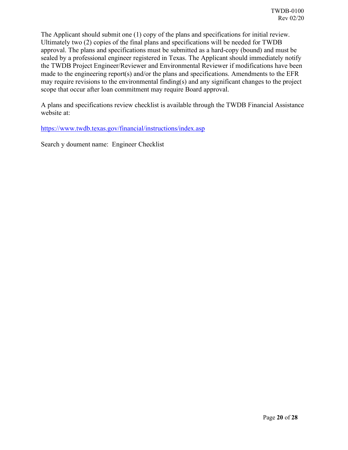The Applicant should submit one (1) copy of the plans and specifications for initial review. Ultimately two (2) copies of the final plans and specifications will be needed for TWDB approval. The plans and specifications must be submitted as a hard-copy (bound) and must be sealed by a professional engineer registered in Texas. The Applicant should immediately notify the TWDB Project Engineer/Reviewer and Environmental Reviewer if modifications have been made to the engineering report(s) and/or the plans and specifications. Amendments to the EFR may require revisions to the environmental finding(s) and any significant changes to the project scope that occur after loan commitment may require Board approval.

A plans and specifications review checklist is available through the TWDB Financial Assistance website at:

[https://www.twdb.texas.gov/financial/instructions/index.asp](http://www.twdb.texas.gov/financial/instructions/index.asp)

Search y doument name: Engineer Checklist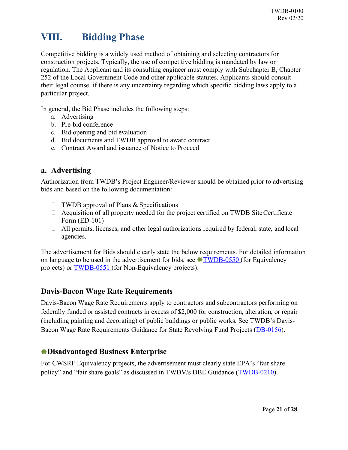## <span id="page-20-0"></span>**VIII. Bidding Phase**

Competitive bidding is a widely used method of obtaining and selecting contractors for construction projects. Typically, the use of competitive bidding is mandated by law or regulation. The Applicant and its consulting engineer must comply with Subchapter B, Chapter 252 of the Local Government Code and other applicable statutes. Applicants should consult their legal counsel if there is any uncertainty regarding which specific bidding laws apply to a particular project.

In general, the Bid Phase includes the following steps:

- a. Advertising
- b. Pre-bid conference
- c. Bid opening and bid evaluation
- d. Bid documents and TWDB approval to award contract
- e. Contract Award and issuance of Notice to Proceed

#### <span id="page-20-1"></span>**a. Advertising**

Authorization from TWDB's Project Engineer/Reviewer should be obtained prior to advertising bids and based on the following documentation:

- $\Box$  TWDB approval of Plans & Specifications
- $\Box$  Acquisition of all property needed for the project certified on TWDB Site Certificate Form (ED-101)
- $\Box$  All permits, licenses, and other legal authorizations required by federal, state, and local agencies.

The advertisement for Bids should clearly state the below requirements. For detailed information on language to be used in the advertisement for bids, see  $\text{*TWDB-0550}$  (for Equivalency projects) or [TWDB-0551 \(](https://www.twdb.texas.gov/financial/instructions/index.asp)for Non-Equivalency projects).

#### <span id="page-20-2"></span>**Davis-Bacon Wage Rate Requirements**

Davis-Bacon Wage Rate Requirements apply to contractors and subcontractors performing on federally funded or assisted contracts in excess of \$2,000 for construction, alteration, or repair (including painting and decorating) of public buildings or public works. See TWDB's Davis-Bacon Wage Rate Requirements Guidance for State Revolving Fund Projects [\(DB-0156\)](https://www.twdb.texas.gov/financial/instructions/index.asp).

#### <span id="page-20-3"></span>**Disadvantaged Business Enterprise**

For CWSRF Equivalency projects, the advertisement must clearly state EPA's "fair share policy" and "fair share goals" as discussed in TWDV/s DBE Guidance [\(TWDB-0210\)](https://www.twdb.texas.gov/financial/instructions/index.asp).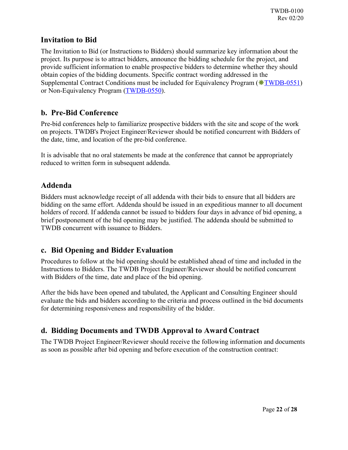#### <span id="page-21-0"></span>**Invitation to Bid**

The Invitation to Bid (or Instructions to Bidders) should summarize key information about the project. Its purpose is to attract bidders, announce the bidding schedule for the project, and provide sufficient information to enable prospective bidders to determine whether they should obtain copies of the bidding documents. Specific contract wording addressed in the Supplemental Contract Conditions must be included for Equivalency Program ( $\text{WTWDB-0551}$ ) or Non-Equivalency Program [\(TWDB-0550\)](https://www.twdb.texas.gov/financial/instructions/index.asp).

#### <span id="page-21-1"></span>**b. Pre-Bid Conference**

Pre-bid conferences help to familiarize prospective bidders with the site and scope of the work on projects. TWDB's Project Engineer/Reviewer should be notified concurrent with Bidders of the date, time, and location of the pre-bid conference.

It is advisable that no oral statements be made at the conference that cannot be appropriately reduced to written form in subsequent addenda.

#### <span id="page-21-2"></span>**Addenda**

Bidders must acknowledge receipt of all addenda with their bids to ensure that all bidders are bidding on the same effort. Addenda should be issued in an expeditious manner to all document holders of record. If addenda cannot be issued to bidders four days in advance of bid opening, a brief postponement of the bid opening may be justified. The addenda should be submitted to TWDB concurrent with issuance to Bidders.

#### <span id="page-21-3"></span>**c. Bid Opening and Bidder Evaluation**

Procedures to follow at the bid opening should be established ahead of time and included in the Instructions to Bidders. The TWDB Project Engineer/Reviewer should be notified concurrent with Bidders of the time, date and place of the bid opening.

After the bids have been opened and tabulated, the Applicant and Consulting Engineer should evaluate the bids and bidders according to the criteria and process outlined in the bid documents for determining responsiveness and responsibility of the bidder.

#### <span id="page-21-4"></span>**d. Bidding Documents and TWDB Approval to Award Contract**

The TWDB Project Engineer/Reviewer should receive the following information and documents as soon as possible after bid opening and before execution of the construction contract: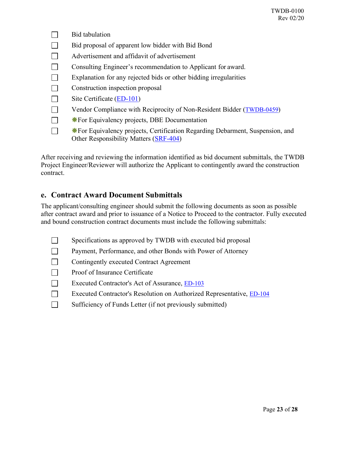$\Box$ Bid tabulation  $\Box$ Bid proposal of apparent low bidder with Bid Bond  $\Box$ Advertisement and affidavit of advertisement  $\Box$ Consulting Engineer's recommendation to Applicant for award.  $\Box$ Explanation for any rejected bids or other bidding irregularities  $\Box$ Construction inspection proposal  $\Box$ Site Certificate [\(ED-101\)](https://www.twdb.texas.gov/financial/instructions/index.asp) Vendor Compliance with Reciprocity of Non-Resident Bidder [\(TWDB-0459\)](https://www.twdb.texas.gov/financial/instructions/index.asp)  $\Box$  $\Box$ **\*** For Equivalency projects, DBE Documentation  $\Box$ For Equivalency projects, Certification Regarding Debarment, Suspension, and Other Responsibility Matters [\(SRF-404\)](https://www.twdb.texas.gov/financial/instructions/index.asp)

After receiving and reviewing the information identified as bid document submittals, the TWDB Project Engineer/Reviewer will authorize the Applicant to contingently award the construction contract.

#### <span id="page-22-0"></span>**e. Contract Award Document Submittals**

The applicant/consulting engineer should submit the following documents as soon as possible after contract award and prior to issuance of a Notice to Proceed to the contractor. Fully executed and bound construction contract documents must include the following submittals:

- $\Box$ Specifications as approved by TWDB with executed bid proposal
- $\Box$ Payment, Performance, and other Bonds with Power of Attorney
- $\Box$ Contingently executed Contract Agreement
- Proof of Insurance Certificate  $\Box$
- $\Box$ Executed Contractor's Act of Assurance, [ED-103](https://www.twdb.texas.gov/financial/instructions/index.asp)
- $\Box$ Executed Contractor's Resolution on Authorized Representative, [ED-104](https://www.twdb.texas.gov/financial/instructions/index.asp)
- $\Box$ Sufficiency of Funds Letter (if not previously submitted)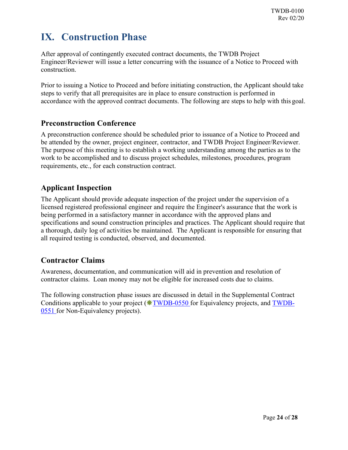## <span id="page-23-0"></span>**IX. Construction Phase**

After approval of contingently executed contract documents, the TWDB Project Engineer/Reviewer will issue a letter concurring with the issuance of a Notice to Proceed with construction.

Prior to issuing a Notice to Proceed and before initiating construction, the Applicant should take steps to verify that all prerequisites are in place to ensure construction is performed in accordance with the approved contract documents. The following are steps to help with this goal.

#### <span id="page-23-1"></span>**Preconstruction Conference**

A preconstruction conference should be scheduled prior to issuance of a Notice to Proceed and be attended by the owner, project engineer, contractor, and TWDB Project Engineer/Reviewer. The purpose of this meeting is to establish a working understanding among the parties as to the work to be accomplished and to discuss project schedules, milestones, procedures, program requirements, etc., for each construction contract.

#### <span id="page-23-2"></span>**Applicant Inspection**

The Applicant should provide adequate inspection of the project under the supervision of a licensed registered professional engineer and require the Engineer's assurance that the work is being performed in a satisfactory manner in accordance with the approved plans and specifications and sound construction principles and practices. The Applicant should require that a thorough, daily log of activities be maintained. The Applicant is responsible for ensuring that all required testing is conducted, observed, and documented.

#### <span id="page-23-3"></span>**Contractor Claims**

Awareness, documentation, and communication will aid in prevention and resolution of contractor claims. Loan money may not be eligible for increased costs due to claims.

The following construction phase issues are discussed in detail in the Supplemental Contract Conditions applicable to your project  $(*TWDB-0550$  $(*TWDB-0550$  for Equivalency projects, and [TWDB-](https://www.twdb.texas.gov/financial/instructions/index.asp)[0551](http://www.twdb.texas.gov/financial/instructions/index.asp) for Non-Equivalency projects).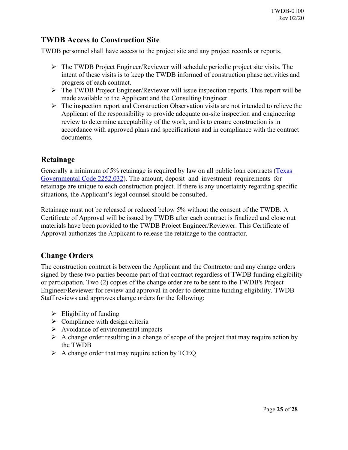#### <span id="page-24-0"></span>**TWDB Access to Construction Site**

TWDB personnel shall have access to the project site and any project records or reports.

- The TWDB Project Engineer/Reviewer will schedule periodic project site visits. The intent of these visits is to keep the TWDB informed of construction phase activities and progress of each contract.
- The TWDB Project Engineer/Reviewer will issue inspection reports. This report will be made available to the Applicant and the Consulting Engineer.
- $\triangleright$  The inspection report and Construction Observation visits are not intended to relieve the Applicant of the responsibility to provide adequate on-site inspection and engineering review to determine acceptability of the work, and is to ensure construction is in accordance with approved plans and specifications and in compliance with the contract documents.

#### <span id="page-24-1"></span>**Retainage**

Generally a minimum of 5% retainage is required by law on all public loan contracts [\(Texas](https://www.statutes.legis.state.tx.us/Docs/GV/htm/GV.2252.htm) [Governmental Code 2252.032\)](http://www.statutes.legis.state.tx.us/Docs/GV/htm/GV.2252.htm). The amount, deposit and investment requirements for retainage are unique to each construction project. If there is any uncertainty regarding specific situations, the Applicant's legal counsel should be consulted.

Retainage must not be released or reduced below 5% without the consent of the TWDB. A Certificate of Approval will be issued by TWDB after each contract is finalized and close out materials have been provided to the TWDB Project Engineer/Reviewer. This Certificate of Approval authorizes the Applicant to release the retainage to the contractor.

#### <span id="page-24-2"></span>**Change Orders**

The construction contract is between the Applicant and the Contractor and any change orders signed by these two parties become part of that contract regardless of TWDB funding eligibility or participation. Two (2) copies of the change order are to be sent to the TWDB's Project Engineer/Reviewer for review and approval in order to determine funding eligibility. TWDB Staff reviews and approves change orders for the following:

- $\triangleright$  Eligibility of funding
- $\triangleright$  Compliance with design criteria
- $\triangleright$  Avoidance of environmental impacts
- $\triangleright$  A change order resulting in a change of scope of the project that may require action by the TWDB
- $\triangleright$  A change order that may require action by TCEQ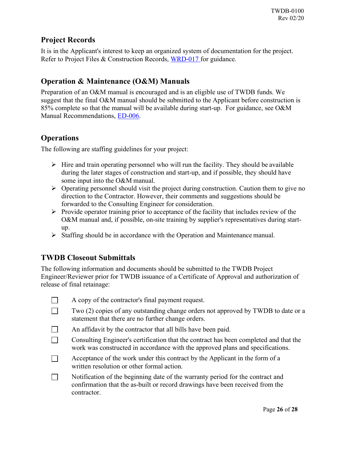#### <span id="page-25-0"></span>**Project Records**

It is in the Applicant's interest to keep an organized system of documentation for the project. Refer to Project Files & Construction Records, [WRD-017](https://www.twdb.texas.gov/financial/instructions/index.asp) for guidance.

#### <span id="page-25-1"></span>**Operation & Maintenance (O&M) Manuals**

Preparation of an O&M manual is encouraged and is an eligible use of TWDB funds. We suggest that the final O&M manual should be submitted to the Applicant before construction is 85% complete so that the manual will be available during start-up. For guidance, see O&M Manual Recommendations, [ED-006.](https://www.twdb.texas.gov/financial/instructions/index.asp)

#### <span id="page-25-2"></span>**Operations**

The following are staffing guidelines for your project:

- $\triangleright$  Hire and train operating personnel who will run the facility. They should be available during the later stages of construction and start-up, and if possible, they should have some input into the O&M manual.
- $\triangleright$  Operating personnel should visit the project during construction. Caution them to give no direction to the Contractor. However, their comments and suggestions should be forwarded to the Consulting Engineer for consideration.
- $\triangleright$  Provide operator training prior to acceptance of the facility that includes review of the O&M manual and, if possible, on-site training by supplier's representatives during startup.
- $\triangleright$  Staffing should be in accordance with the Operation and Maintenance manual.

#### <span id="page-25-3"></span>**TWDB Closeout Submittals**

The following information and documents should be submitted to the TWDB Project Engineer/Reviewer prior for TWDB issuance of a Certificate of Approval and authorization of release of final retainage:

| $\Box$ |  |  | A copy of the contractor's final payment request. |
|--------|--|--|---------------------------------------------------|
|        |  |  |                                                   |

- $\Box$ Two (2) copies of any outstanding change orders not approved by TWDB to date or a statement that there are no further change orders.
- $\Box$ An affidavit by the contractor that all bills have been paid.
- $\Box$ Consulting Engineer's certification that the contract has been completed and that the work was constructed in accordance with the approved plans and specifications.
- Acceptance of the work under this contract by the Applicant in the form of a  $\perp$ written resolution or other formal action.
- $\Box$ Notification of the beginning date of the warranty period for the contract and confirmation that the as-built or record drawings have been received from the contractor.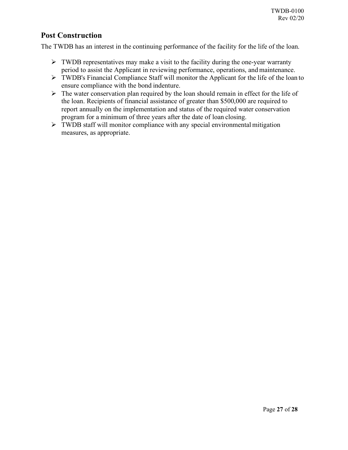#### <span id="page-26-0"></span>**Post Construction**

The TWDB has an interest in the continuing performance of the facility for the life of the loan.

- $\triangleright$  TWDB representatives may make a visit to the facility during the one-year warranty period to assist the Applicant in reviewing performance, operations, and maintenance.
- TWDB's Financial Compliance Staff will monitor the Applicant for the life of the loan to ensure compliance with the bond indenture.
- $\triangleright$  The water conservation plan required by the loan should remain in effect for the life of the loan. Recipients of financial assistance of greater than \$500,000 are required to report annually on the implementation and status of the required water conservation program for a minimum of three years after the date of loan closing.
- $\triangleright$  TWDB staff will monitor compliance with any special environmental mitigation measures, as appropriate.